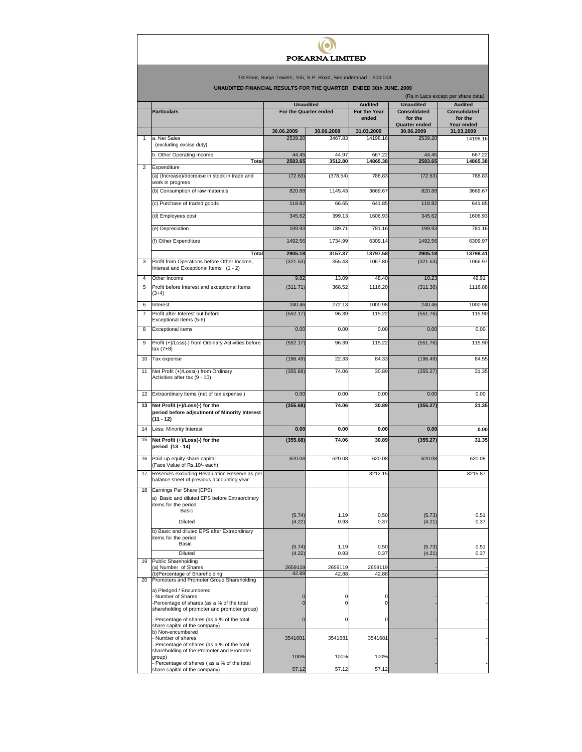## $\odot$ POKARNA LIMITED

1st Floor, Surya Towers, 105, S.P. Road, Secunderabad – 500 003

**UNDE FINANCIAL RESULTS FOR THE QUARE** 

|                | <b>INCODET OT ON THE WORKTER.</b> ENDED JOIN OUNE, 2003<br>(Rs.in Lacs except per share data)              |                       |                       |                        |                                |                                |  |  |  |  |  |
|----------------|------------------------------------------------------------------------------------------------------------|-----------------------|-----------------------|------------------------|--------------------------------|--------------------------------|--|--|--|--|--|
|                |                                                                                                            | <b>Unaudited</b>      |                       | <b>Audited</b>         | <b>Unaudited</b>               | <b>Audited</b>                 |  |  |  |  |  |
|                | <b>Particulars</b>                                                                                         | For the Quarter ended |                       | For the Year<br>ended  | <b>Consolidated</b><br>for the | <b>Consolidated</b><br>for the |  |  |  |  |  |
|                |                                                                                                            |                       |                       |                        | <b>Quarter ended</b>           | Year ended                     |  |  |  |  |  |
| 1              | a. Net Sales                                                                                               | 30.06.2009<br>2539.20 | 30.06.2008<br>3467.83 | 31.03.2009<br>14198.16 | 30.06.2009<br>2539.20          | 31.03.2009<br>14198.16         |  |  |  |  |  |
|                | (excluding excise duty)                                                                                    |                       |                       |                        |                                |                                |  |  |  |  |  |
|                | b. Other Operating Income                                                                                  | 44.45                 | 44.97                 | 667.22                 | 44.45                          | 667.22                         |  |  |  |  |  |
| 2              | Total<br>Expenditure                                                                                       | 2583.65               | 3512.80               | 14865.38               | 2583.65                        | 14865.38                       |  |  |  |  |  |
|                | (a) (Increase)/decrease in stock in trade and<br>work in progress                                          | (72.63)               | (378.54)              | 788.83                 | (72.63)                        | 788.83                         |  |  |  |  |  |
|                | (b) Consumption of raw materials                                                                           | 820.88                | 1145.43               | 3669.67                | 820.88                         | 3669.67                        |  |  |  |  |  |
|                | (c) Purchase of traded goods                                                                               | 118.82                | 66.65                 | 641.85                 | 118.82                         | 641.85                         |  |  |  |  |  |
|                | (d) Employees cost                                                                                         | 345.62                | 399.13                | 1606.93                | 345.62                         | 1606.93                        |  |  |  |  |  |
|                | (e) Depreciation                                                                                           | 199.93                | 189.71                | 781.16                 | 199.93                         | 781.16                         |  |  |  |  |  |
|                | (f) Other Expenditure                                                                                      | 1492.56               | 1734.99               | 6309.14                | 1492.56                        | 6309.97                        |  |  |  |  |  |
|                | Total                                                                                                      | 2905.18               | 3157.37               | 13797.58               | 2905.18                        | 13798.41                       |  |  |  |  |  |
| 3              | Profit from Operations before Other Income,<br>Interest and Exceptional Items (1 - 2)                      | (321.53)              | 355.43                | 1067.80                | (321.53)                       | 1066.97                        |  |  |  |  |  |
| 4              | Other Income                                                                                               | 9.82                  | 13.09                 | 48.40                  | 10.23                          | 49.91                          |  |  |  |  |  |
| 5              | Profit before Interest and exceptional Items<br>$(3+4)$                                                    | (311.71)              | 368.52                | 1116.20                | (311.30)                       | 1116.88                        |  |  |  |  |  |
| 6              | Interest                                                                                                   | 240.46                | 272.13                | 1000.98                | 240.46                         | 1000.98                        |  |  |  |  |  |
| $\overline{7}$ | Profit after Interest but before<br>Exceptional Items (5-6)                                                | (552.17)              | 96.39                 | 115.22                 | (551.76)                       | 115.90                         |  |  |  |  |  |
| 8              | <b>Exceptional items</b>                                                                                   | 0.00                  | 0.00                  | 0.00                   | 0.00                           | 0.00                           |  |  |  |  |  |
| 9              | Profit (+)/Loss(-) from Ordinary Activities before<br>$tax(7+8)$                                           | (552.17)              | 96.39                 | 115.22                 | (551.76)                       | 115.90                         |  |  |  |  |  |
| 10             | Tax expense                                                                                                | (196.49)              | 22.33                 | 84.33                  | (196.49)                       | 84.55                          |  |  |  |  |  |
| 11             | Net Profit (+)/Loss(-) from Ordinary<br>Activities after tax (9 - 10)                                      | (355.68)              | 74.06                 | 30.89                  | (355.27)                       | 31.35                          |  |  |  |  |  |
| 12             | Extraordinary Items (net of tax expense)                                                                   | 0.00                  | 0.00                  | 0.00                   | 0.00                           | 0.00                           |  |  |  |  |  |
| 13             | Net Profit (+)/Loss(-) for the<br>period before adjsutment of Minority Interest<br>$(11 - 12)$             | (355.68)              | 74.06                 | 30.89                  | (355.27)                       | 31.35                          |  |  |  |  |  |
| 14             | Less: Minority Interest                                                                                    | 0.00                  | 0.00                  | 0.00                   | 0.00                           | 0.00                           |  |  |  |  |  |
| 15             | Net Profit (+)/Loss(-) for the<br>period (13 - 14)                                                         | (355.68)              | 74.06                 | 30.89                  | (355.27)                       | 31.35                          |  |  |  |  |  |
| 16             | Paid-up equity share capital<br>(Face Value of Rs.10/- each)                                               | 620.08                | 620.08                | 620.08                 | 620.08                         | 620.08                         |  |  |  |  |  |
| 17             | Reserves excluding Revaluation Reserve as per<br>balance sheet of previous accounting year                 |                       |                       | 8212.15                |                                | 8215.87                        |  |  |  |  |  |
| 18             | Earnings Per Share (EPS)<br>a) Basic and diluted EPS before Extraordinary<br>items for the period<br>Basic |                       |                       |                        |                                |                                |  |  |  |  |  |
|                | Diluted                                                                                                    | (5.74)<br>(4.22)      | 1.19<br>0.93          | 0.50<br>0.37           | (5.73)<br>(4.21)               | 0.51<br>0.37                   |  |  |  |  |  |
|                | b) Basic and diluted EPS after Extraordinary<br>items for the period                                       |                       |                       |                        |                                |                                |  |  |  |  |  |
|                | Basic<br>Diluted                                                                                           | (5.74)<br>(4.22)      | 1.19<br>0.93          | 0.50<br>0.37           | (5.73)<br>(4.21)               | 0.51<br>0.37                   |  |  |  |  |  |
| 19             | <b>Public Shareholding</b>                                                                                 |                       |                       |                        |                                |                                |  |  |  |  |  |
|                | (a) Number of Shares<br>(b)Percentage of Shareholding                                                      | 2659119<br>42.88      | 2659119<br>42.88      | 2659119<br>42.88       |                                |                                |  |  |  |  |  |
| 20             | Promoters and Promoter Group Shareholding                                                                  |                       |                       |                        |                                |                                |  |  |  |  |  |
|                | a) Pledged / Encumbered<br>- Number of Shares<br>-Percentage of shares (as a % of the total                | 0<br>$\overline{0}$   | 0<br>$\mathbf 0$      | 0<br>0                 |                                |                                |  |  |  |  |  |
|                | shareholding of promoter and promoter group)<br>Percentage of shares (as a % of the total                  | $\mathbf 0$           | 0                     | 0                      |                                |                                |  |  |  |  |  |
|                | share capital of the company)<br>b) Non-encumbered<br>- Number of shares                                   | 3541681               | 3541681               | 3541681                |                                |                                |  |  |  |  |  |
|                | - Percentage of shares (as a % of the total<br>shareholding of the Promoter and Promoter                   |                       |                       |                        |                                |                                |  |  |  |  |  |
|                | group)<br>- Percentage of shares (as a % of the total                                                      | 100%                  | 100%                  | 100%                   |                                |                                |  |  |  |  |  |
|                | share capital of the company)                                                                              | 57.12                 | 57.12                 | 57.12                  |                                |                                |  |  |  |  |  |